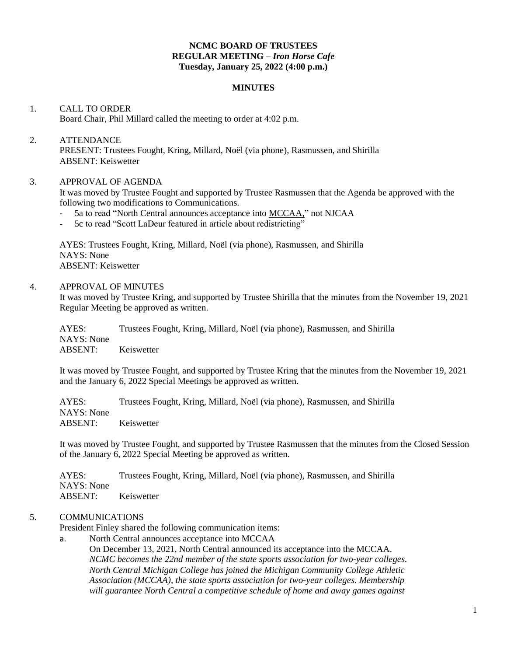# **NCMC BOARD OF TRUSTEES REGULAR MEETING –** *Iron Horse Cafe* **Tuesday, January 25, 2022 (4:00 p.m.)**

#### **MINUTES**

# 1. CALL TO ORDER Board Chair, Phil Millard called the meeting to order at 4:02 p.m.

#### 2. ATTENDANCE

PRESENT: Trustees Fought, Kring, Millard, Noël (via phone), Rasmussen, and Shirilla ABSENT: Keiswetter

# 3. APPROVAL OF AGENDA

It was moved by Trustee Fought and supported by Trustee Rasmussen that the Agenda be approved with the following two modifications to Communications.

- 5a to read "North Central announces acceptance into MCCAA," not NJCAA
- 5c to read "Scott LaDeur featured in article about redistricting"

AYES: Trustees Fought, Kring, Millard, Noël (via phone), Rasmussen, and Shirilla NAYS: None ABSENT: Keiswetter

#### 4. APPROVAL OF MINUTES

It was moved by Trustee Kring, and supported by Trustee Shirilla that the minutes from the November 19, 2021 Regular Meeting be approved as written.

AYES: Trustees Fought, Kring, Millard, Noël (via phone), Rasmussen, and Shirilla NAYS: None ABSENT: Keiswetter

It was moved by Trustee Fought, and supported by Trustee Kring that the minutes from the November 19, 2021 and the January 6, 2022 Special Meetings be approved as written.

AYES: Trustees Fought, Kring, Millard, Noël (via phone), Rasmussen, and Shirilla NAYS: None ABSENT: Keiswetter

It was moved by Trustee Fought, and supported by Trustee Rasmussen that the minutes from the Closed Session of the January 6, 2022 Special Meeting be approved as written.

AYES: Trustees Fought, Kring, Millard, Noël (via phone), Rasmussen, and Shirilla NAYS: None ABSENT: Keiswetter

## 5. COMMUNICATIONS

President Finley shared the following communication items:

a. North Central announces acceptance into MCCAA On December 13, 2021, North Central announced its acceptance into the MCCAA. *NCMC becomes the 22nd member of the state sports association for two-year colleges. North Central Michigan College has joined the Michigan Community College Athletic Association (MCCAA), the state sports association for two-year colleges. Membership will guarantee North Central a competitive schedule of home and away games against*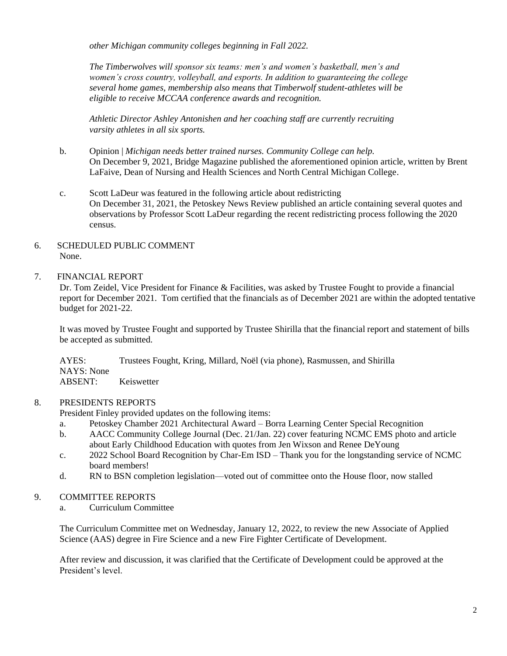*other Michigan community colleges beginning in Fall 2022.*

*The Timberwolves will sponsor six teams: men's and women's basketball, men's and women's cross country, volleyball, and esports. In addition to guaranteeing the college several home games, membership also means that Timberwolf student-athletes will be eligible to receive MCCAA conference awards and recognition.*

*Athletic Director Ashley Antonishen and her coaching staff are currently recruiting varsity athletes in all six sports.*

- b. Opinion | *Michigan needs better trained nurses. Community College can help.* On December 9, 2021, Bridge Magazine published the aforementioned opinion article, written by Brent LaFaive, Dean of Nursing and Health Sciences and North Central Michigan College.
- c. Scott LaDeur was featured in the following article about redistricting On December 31, 2021, the Petoskey News Review published an article containing several quotes and observations by Professor Scott LaDeur regarding the recent redistricting process following the 2020 census.

# 6. SCHEDULED PUBLIC COMMENT None.

# 7. FINANCIAL REPORT

Dr. Tom Zeidel, Vice President for Finance & Facilities, was asked by Trustee Fought to provide a financial report for December 2021. Tom certified that the financials as of December 2021 are within the adopted tentative budget for 2021-22.

It was moved by Trustee Fought and supported by Trustee Shirilla that the financial report and statement of bills be accepted as submitted.

AYES: Trustees Fought, Kring, Millard, Noël (via phone), Rasmussen, and Shirilla NAYS: None ABSENT: Keiswetter

## 8. PRESIDENTS REPORTS

President Finley provided updates on the following items:

- a. Petoskey Chamber 2021 Architectural Award Borra Learning Center Special Recognition
- b. AACC Community College Journal (Dec. 21/Jan. 22) cover featuring NCMC EMS photo and article about Early Childhood Education with quotes from Jen Wixson and Renee DeYoung
- c. 2022 School Board Recognition by Char-Em ISD Thank you for the longstanding service of NCMC board members!
- d. RN to BSN completion legislation—voted out of committee onto the House floor, now stalled

# 9. COMMITTEE REPORTS

a. Curriculum Committee

The Curriculum Committee met on Wednesday, January 12, 2022, to review the new Associate of Applied Science (AAS) degree in Fire Science and a new Fire Fighter Certificate of Development.

After review and discussion, it was clarified that the Certificate of Development could be approved at the President's level.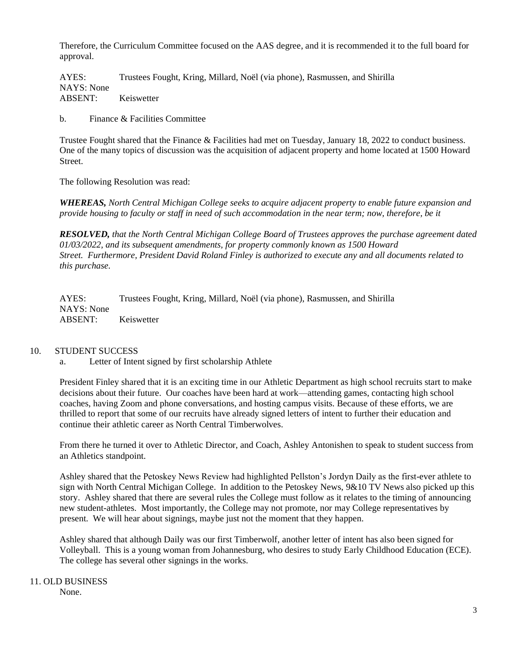Therefore, the Curriculum Committee focused on the AAS degree, and it is recommended it to the full board for approval.

AYES: Trustees Fought, Kring, Millard, Noël (via phone), Rasmussen, and Shirilla NAYS: None ABSENT: Keiswetter

b. Finance & Facilities Committee

Trustee Fought shared that the Finance & Facilities had met on Tuesday, January 18, 2022 to conduct business. One of the many topics of discussion was the acquisition of adjacent property and home located at 1500 Howard Street.

The following Resolution was read:

*WHEREAS, North Central Michigan College seeks to acquire adjacent property to enable future expansion and provide housing to faculty or staff in need of such accommodation in the near term; now, therefore, be it*

*RESOLVED, that the North Central Michigan College Board of Trustees approves the purchase agreement dated 01/03/2022, and its subsequent amendments, for property commonly known as 1500 Howard Street. Furthermore, President David Roland Finley is authorized to execute any and all documents related to this purchase.*

AYES: Trustees Fought, Kring, Millard, Noël (via phone), Rasmussen, and Shirilla NAYS: None ABSENT: Keiswetter

## 10. STUDENT SUCCESS

a. Letter of Intent signed by first scholarship Athlete

President Finley shared that it is an exciting time in our Athletic Department as high school recruits start to make decisions about their future. Our coaches have been hard at work—attending games, contacting high school coaches, having Zoom and phone conversations, and hosting campus visits. Because of these efforts, we are thrilled to report that some of our recruits have already signed letters of intent to further their education and continue their athletic career as North Central Timberwolves.

From there he turned it over to Athletic Director, and Coach, Ashley Antonishen to speak to student success from an Athletics standpoint.

Ashley shared that the Petoskey News Review had highlighted Pellston's Jordyn Daily as the first-ever athlete to sign with North Central Michigan College. In addition to the Petoskey News, 9&10 TV News also picked up this story. Ashley shared that there are several rules the College must follow as it relates to the timing of announcing new student-athletes. Most importantly, the College may not promote, nor may College representatives by present. We will hear about signings, maybe just not the moment that they happen.

Ashley shared that although Daily was our first Timberwolf, another letter of intent has also been signed for Volleyball. This is a young woman from Johannesburg, who desires to study Early Childhood Education (ECE). The college has several other signings in the works.

# 11. OLD BUSINESS

None.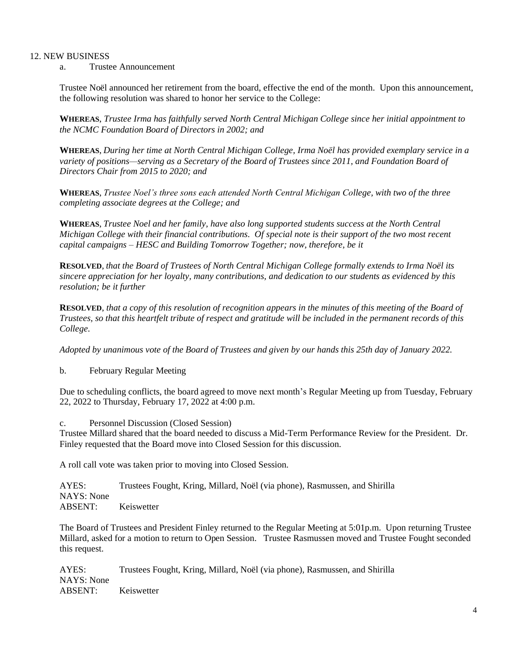## 12. NEW BUSINESS

a. Trustee Announcement

Trustee Noël announced her retirement from the board, effective the end of the month. Upon this announcement, the following resolution was shared to honor her service to the College:

**WHEREAS**, *Trustee Irma has faithfully served North Central Michigan College since her initial appointment to the NCMC Foundation Board of Directors in 2002; and*

**WHEREAS**, *During her time at North Central Michigan College, Irma Noël has provided exemplary service in a variety of positions—serving as a Secretary of the Board of Trustees since 2011, and Foundation Board of Directors Chair from 2015 to 2020; and*

**WHEREAS**, *Trustee Noel's three sons each attended North Central Michigan College, with two of the three completing associate degrees at the College; and* 

**WHEREAS**, *Trustee Noel and her family, have also long supported students success at the North Central Michigan College with their financial contributions. Of special note is their support of the two most recent capital campaigns – HESC and Building Tomorrow Together; now, therefore, be it*

**RESOLVED**, *that the Board of Trustees of North Central Michigan College formally extends to Irma Noël its sincere appreciation for her loyalty, many contributions, and dedication to our students as evidenced by this resolution; be it further*

**RESOLVED**, *that a copy of this resolution of recognition appears in the minutes of this meeting of the Board of Trustees, so that this heartfelt tribute of respect and gratitude will be included in the permanent records of this College.*

*Adopted by unanimous vote of the Board of Trustees and given by our hands this 25th day of January 2022.*

b. February Regular Meeting

Due to scheduling conflicts, the board agreed to move next month's Regular Meeting up from Tuesday, February 22, 2022 to Thursday, February 17, 2022 at 4:00 p.m.

c. Personnel Discussion (Closed Session)

Trustee Millard shared that the board needed to discuss a Mid-Term Performance Review for the President. Dr. Finley requested that the Board move into Closed Session for this discussion.

A roll call vote was taken prior to moving into Closed Session.

AYES: Trustees Fought, Kring, Millard, Noël (via phone), Rasmussen, and Shirilla NAYS: None ABSENT: Keiswetter

The Board of Trustees and President Finley returned to the Regular Meeting at 5:01p.m. Upon returning Trustee Millard, asked for a motion to return to Open Session. Trustee Rasmussen moved and Trustee Fought seconded this request.

AYES: Trustees Fought, Kring, Millard, Noël (via phone), Rasmussen, and Shirilla NAYS: None ABSENT: Keiswetter